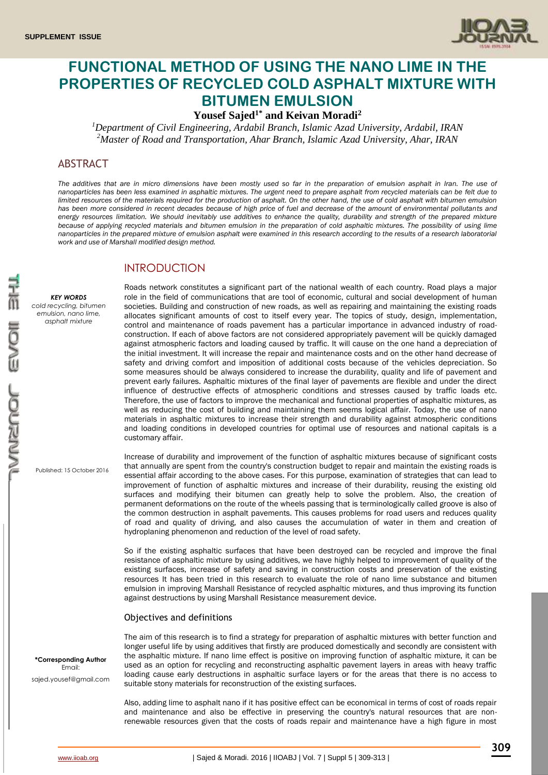

# **FUNCTIONAL METHOD OF USING THE NANO LIME IN THE PROPERTIES OF RECYCLED COLD ASPHALT MIXTURE WITH BITUMEN EMULSION**

**Yousef Sajed1\* and Keivan Moradi<sup>2</sup>**

*<sup>1</sup>Department of Civil Engineering, Ardabil Branch, Islamic Azad University, Ardabil, IRAN <sup>2</sup>Master of Road and Transportation, Ahar Branch, Islamic Azad University, Ahar, IRAN*

# ABSTRACT

*The additives that are in micro dimensions have been mostly used so far in the preparation of emulsion asphalt in Iran. The use of nanoparticles has been less examined in asphaltic mixtures. The urgent need to prepare asphalt from recycled materials can be felt due to limited resources of the materials required for the production of asphalt. On the other hand, the use of cold asphalt with bitumen emulsion has been more considered in recent decades because of high price of fuel and decrease of the amount of environmental pollutants and*  energy resources limitation. We should inevitably use additives to enhance the quality, durability and strength of the prepared mixture *because of applying recycled materials and bitumen emulsion in the preparation of cold asphaltic mixtures. The possibility of using lime nanoparticles in the prepared mixture of emulsion asphalt were examined in this research according to the results of a research laboratorial work and use of Marshall modified design method.*

# INTRODUCTION

*KEY WORDS*

*cold recycling, bitumen emulsion, nano lime, asphalt mixture*

Roads network constitutes a significant part of the national wealth of each country. Road plays a major role in the field of communications that are tool of economic, cultural and social development of human societies. Building and construction of new roads, as well as repairing and maintaining the existing roads allocates significant amounts of cost to itself every year. The topics of study, design, implementation, control and maintenance of roads pavement has a particular importance in advanced industry of roadconstruction. If each of above factors are not considered appropriately pavement will be quickly damaged against atmospheric factors and loading caused by traffic. It will cause on the one hand a depreciation of the initial investment. It will increase the repair and maintenance costs and on the other hand decrease of safety and driving comfort and imposition of additional costs because of the vehicles depreciation. So some measures should be always considered to increase the durability, quality and life of pavement and prevent early failures. Asphaltic mixtures of the final layer of pavements are flexible and under the direct influence of destructive effects of atmospheric conditions and stresses caused by traffic loads etc. Therefore, the use of factors to improve the mechanical and functional properties of asphaltic mixtures, as well as reducing the cost of building and maintaining them seems logical affair. Today, the use of nano materials in asphaltic mixtures to increase their strength and durability against atmospheric conditions and loading conditions in developed countries for optimal use of resources and national capitals is a customary affair.

Published: 15 October 2016

Increase of durability and improvement of the function of asphaltic mixtures because of significant costs that annually are spent from the country's construction budget to repair and maintain the existing roads is essential affair according to the above cases. For this purpose, examination of strategies that can lead to improvement of function of asphaltic mixtures and increase of their durability, reusing the existing old surfaces and modifying their bitumen can greatly help to solve the problem. Also, the creation of permanent deformations on the route of the wheels passing that is terminologically called groove is also of the common destruction in asphalt pavements. This causes problems for road users and reduces quality of road and quality of driving, and also causes the accumulation of water in them and creation of hydroplaning phenomenon and reduction of the level of road safety.

So if the existing asphaltic surfaces that have been destroyed can be recycled and improve the final resistance of asphaltic mixture by using additives, we have highly helped to improvement of quality of the existing surfaces, increase of safety and saving in construction costs and preservation of the existing resources It has been tried in this research to evaluate the role of nano lime substance and bitumen emulsion in improving Marshall Resistance of recycled asphaltic mixtures, and thus improving its function against destructions by using Marshall Resistance measurement device.

### Objectives and definitions

The aim of this research is to find a strategy for preparation of asphaltic mixtures with better function and longer useful life by using additives that firstly are produced domestically and secondly are consistent with the asphaltic mixture. If nano lime effect is positive on improving function of asphaltic mixture, it can be used as an option for recycling and reconstructing asphaltic pavement layers in areas with heavy traffic loading cause early destructions in asphaltic surface layers or for the areas that there is no access to suitable stony materials for reconstruction of the existing surfaces.

Also, adding lime to asphalt nano if it has positive effect can be economical in terms of cost of roads repair and maintenance and also be effective in preserving the country's natural resources that are nonrenewable resources given that the costs of roads repair and maintenance have a high figure in most

**\*Corresponding Author** Email: sajed.yousef@gmail.com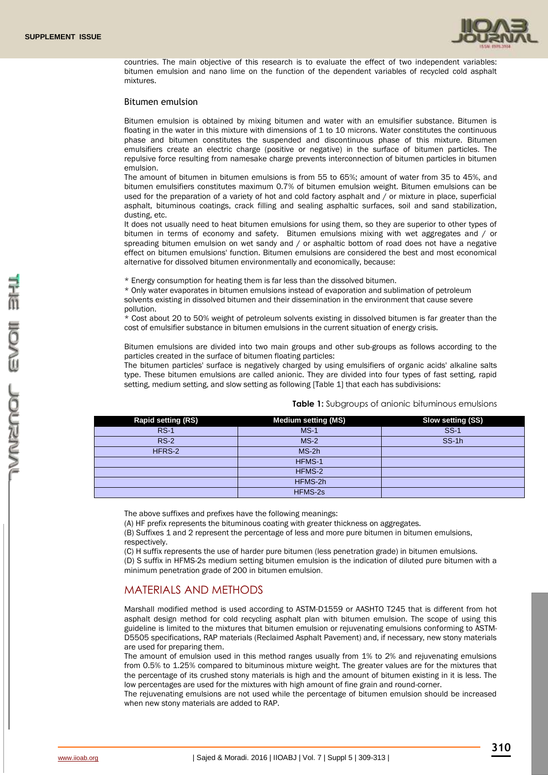

countries. The main objective of this research is to evaluate the effect of two independent variables: bitumen emulsion and nano lime on the function of the dependent variables of recycled cold asphalt mixtures.

#### Bitumen emulsion

Bitumen emulsion is obtained by mixing bitumen and water with an emulsifier substance. Bitumen is floating in the water in this mixture with dimensions of 1 to 10 microns. Water constitutes the continuous phase and bitumen constitutes the suspended and discontinuous phase of this mixture. Bitumen emulsifiers create an electric charge (positive or negative) in the surface of bitumen particles. The repulsive force resulting from namesake charge prevents interconnection of bitumen particles in bitumen emulsion.

The amount of bitumen in bitumen emulsions is from 55 to 65%; amount of water from 35 to 45%, and bitumen emulsifiers constitutes maximum 0.7% of bitumen emulsion weight. Bitumen emulsions can be used for the preparation of a variety of hot and cold factory asphalt and / or mixture in place, superficial asphalt, bituminous coatings, crack filling and sealing asphaltic surfaces, soil and sand stabilization, dusting, etc.

It does not usually need to heat bitumen emulsions for using them, so they are superior to other types of bitumen in terms of economy and safety. Bitumen emulsions mixing with wet aggregates and / or spreading bitumen emulsion on wet sandy and / or asphaltic bottom of road does not have a negative effect on bitumen emulsions' function. Bitumen emulsions are considered the best and most economical alternative for dissolved bitumen environmentally and economically, because:

\* Energy consumption for heating them is far less than the dissolved bitumen.

\* Only water evaporates in bitumen emulsions instead of evaporation and sublimation of petroleum solvents existing in dissolved bitumen and their dissemination in the environment that cause severe pollution.

\* Cost about 20 to 50% weight of petroleum solvents existing in dissolved bitumen is far greater than the cost of emulsifier substance in bitumen emulsions in the current situation of energy crisis.

Bitumen emulsions are divided into two main groups and other sub-groups as follows according to the particles created in the surface of bitumen floating particles:

The bitumen particles' surface is negatively charged by using emulsifiers of organic acids' alkaline salts type. These bitumen emulsions are called anionic. They are divided into four types of fast setting, rapid setting, medium setting, and slow setting as following [Table 1] that each has subdivisions:

| <b>Rapid setting (RS)</b> | <b>Medium setting (MS)</b> | Slow setting (SS) |
|---------------------------|----------------------------|-------------------|
| <b>RS-1</b>               | $MS-1$                     | $SS-1$            |
| $RS-2$                    | $MS-2$                     | $SS-1h$           |
| HFRS-2                    | $MS-2h$                    |                   |
|                           | HFMS-1                     |                   |
|                           | HFMS-2                     |                   |
|                           | HFMS-2h                    |                   |
|                           | HFMS-2s                    |                   |

**Table 1:** Subgroups of anionic bituminous emulsions

The above suffixes and prefixes have the following meanings:

(A) HF prefix represents the bituminous coating with greater thickness on aggregates.

(B) Suffixes 1 and 2 represent the percentage of less and more pure bitumen in bitumen emulsions, respectively.

(C) H suffix represents the use of harder pure bitumen (less penetration grade) in bitumen emulsions.

(D) S suffix in HFMS-2s medium setting bitumen emulsion is the indication of diluted pure bitumen with a minimum penetration grade of 200 in bitumen emulsion.

# MATERIALS AND METHODS

Marshall modified method is used according to ASTM-D1559 or AASHTO T245 that is different from hot asphalt design method for cold recycling asphalt plan with bitumen emulsion. The scope of using this guideline is limited to the mixtures that bitumen emulsion or rejuvenating emulsions conforming to ASTM-D5505 specifications, RAP materials (Reclaimed Asphalt Pavement) and, if necessary, new stony materials are used for preparing them.

The amount of emulsion used in this method ranges usually from 1% to 2% and rejuvenating emulsions from 0.5% to 1.25% compared to bituminous mixture weight. The greater values are for the mixtures that the percentage of its crushed stony materials is high and the amount of bitumen existing in it is less. The low percentages are used for the mixtures with high amount of fine grain and round-corner.

The rejuvenating emulsions are not used while the percentage of bitumen emulsion should be increased when new stony materials are added to RAP.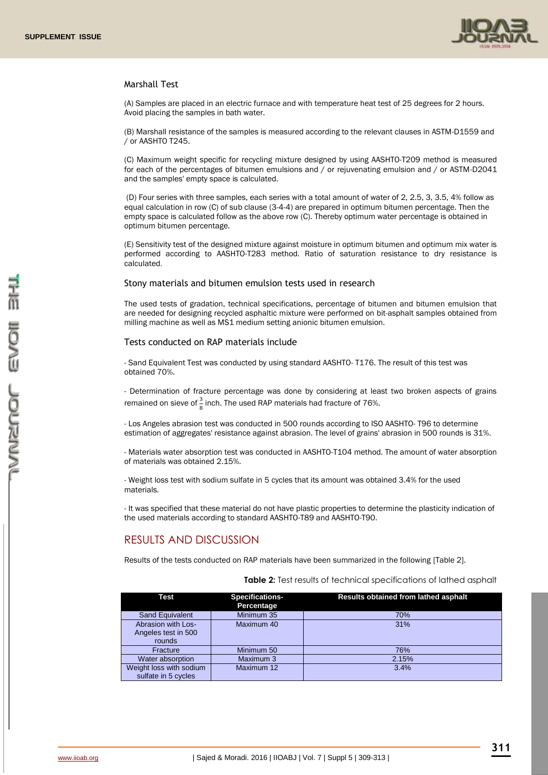

## Marshall Test

(A) Samples are placed in an electric furnace and with temperature heat test of 25 degrees for 2 hours. Avoid placing the samples in bath water.

(B) Marshall resistance of the samples is measured according to the relevant clauses in ASTM-D1559 and / or AASHTO T245.

(C) Maximum weight specific for recycling mixture designed by using AASHTO-T209 method is measured for each of the percentages of bitumen emulsions and / or rejuvenating emulsion and / or ASTM-D2041 and the samples' empty space is calculated.

(D) Four series with three samples, each series with a total amount of water of 2, 2.5, 3, 3.5, 4% follow as equal calculation in row (C) of sub clause (3-4-4) are prepared in optimum bitumen percentage. Then the empty space is calculated follow as the above row (C). Thereby optimum water percentage is obtained in optimum bitumen percentage.

(E) Sensitivity test of the designed mixture against moisture in optimum bitumen and optimum mix water is performed according to AASHTO-T283 method. Ratio of saturation resistance to dry resistance is calculated.

### Stony materials and bitumen emulsion tests used in research

The used tests of gradation, technical specifications, percentage of bitumen and bitumen emulsion that are needed for designing recycled asphaltic mixture were performed on bit-asphalt samples obtained from milling machine as well as MS1 medium setting anionic bitumen emulsion.

### Tests conducted on RAP materials include

- Sand Equivalent Test was conducted by using standard AASHTO- T176. The result of this test was obtained 70%.

- Determination of fracture percentage was done by considering at least two broken aspects of grains remained on sieve of  $\frac{3}{8}$  inch. The used RAP materials had fracture of 76%.

- Los Angeles abrasion test was conducted in 500 rounds according to ISO AASHTO- T96 to determine estimation of aggregates' resistance against abrasion. The level of grains' abrasion in 500 rounds is 31%.

- Materials water absorption test was conducted in AASHTO-T104 method. The amount of water absorption of materials was obtained 2.15%.

- Weight loss test with sodium sulfate in 5 cycles that its amount was obtained 3.4% for the used materials.

- It was specified that these material do not have plastic properties to determine the plasticity indication of the used materials according to standard AASHTO-T89 and AASHTO-T90.

# RESULTS AND DISCUSSION

Results of the tests conducted on RAP materials have been summarized in the following [Table 2].

#### **Table 2:** Test results of technical specifications of lathed asphalt

| Test                                                | <b>Specifications-</b><br>Percentage | <b>Results obtained from lathed asphalt</b> |
|-----------------------------------------------------|--------------------------------------|---------------------------------------------|
| Sand Equivalent                                     | Minimum 35                           | 70%                                         |
| Abrasion with Los-<br>Angeles test in 500<br>rounds | Maximum 40                           | 31%                                         |
| Fracture                                            | Minimum 50                           | 76%                                         |
| Water absorption                                    | Maximum 3                            | 2.15%                                       |
| Weight loss with sodium<br>sulfate in 5 cycles      | Maximum 12                           | 3.4%                                        |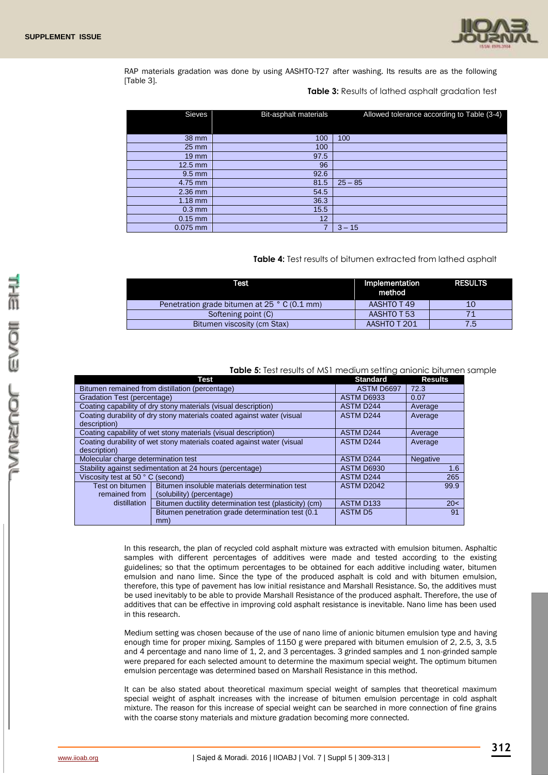

RAP materials gradation was done by using AASHTO-T27 after washing. Its results are as the following [Table 3].

### **Table 3:** Results of lathed asphalt gradation test

| <b>Sieves</b>     | <b>Bit-asphalt materials</b> | Allowed tolerance according to Table (3-4) |
|-------------------|------------------------------|--------------------------------------------|
|                   |                              |                                            |
| 38 mm             | 100                          | 100                                        |
| $25 \, \text{mm}$ | 100                          |                                            |
| $19 \, \text{mm}$ | 97.5                         |                                            |
| $12.5$ mm         | 96                           |                                            |
| $9.5$ mm          | 92.6                         |                                            |
| 4.75 mm           | 81.5                         | $25 - 85$                                  |
| 2.36 mm           | 54.5                         |                                            |
| $1.18$ mm         | 36.3                         |                                            |
| $0.3$ mm          | 15.5                         |                                            |
| $0.15$ mm         | 12                           |                                            |
| $0.075$ mm        |                              | $3 - 15$                                   |

### **Table 4:** Test results of bitumen extracted from lathed asphalt

| Test                                         | Implementation<br>method | <b>RESULTS</b> |
|----------------------------------------------|--------------------------|----------------|
| Penetration grade bitumen at 25 ° C (0.1 mm) | AASHTO T 49              | 10             |
| Softening point (C)                          | AASHTO T 53              |                |
| Bitumen viscosity (cm Stax)                  | AASHTO T 201             | 75             |

**Table 5:** Test results of MS1 medium setting anionic bitumen sample

|                                                                        | Test                                                   | <b>Standard</b>       | <b>Results</b>  |
|------------------------------------------------------------------------|--------------------------------------------------------|-----------------------|-----------------|
| Bitumen remained from distillation (percentage)                        |                                                        | ASTM D6697            | 72.3            |
| Gradation Test (percentage)                                            |                                                        | ASTM D6933            | 0.07            |
| Coating capability of dry stony materials (visual description)         |                                                        | <b>ASTM D244</b>      | Average         |
| Coating durability of dry stony materials coated against water (visual |                                                        | <b>ASTM D244</b>      | Average         |
| description)                                                           |                                                        |                       |                 |
| Coating capability of wet stony materials (visual description)         |                                                        | <b>ASTM D244</b>      | Average         |
| Coating durability of wet stony materials coated against water (visual |                                                        | <b>ASTM D244</b>      | Average         |
| description)                                                           |                                                        |                       |                 |
| Molecular charge determination test                                    |                                                        | <b>ASTM D244</b>      | <b>Negative</b> |
| Stability against sedimentation at 24 hours (percentage)               |                                                        | ASTM D6930            | 1.6             |
| Viscosity test at 50 °C (second)                                       |                                                        | <b>ASTM D244</b>      | 265             |
| Test on bitumen                                                        | Bitumen insoluble materials determination test         | <b>ASTM D2042</b>     | 99.9            |
| remained from                                                          | (solubility) (percentage)                              |                       |                 |
| distillation                                                           | Bitumen ductility determination test (plasticity) (cm) | ASTM D <sub>133</sub> | 20<             |
|                                                                        | Bitumen penetration grade determination test (0.1)     | <b>ASTM D5</b>        | 91              |
|                                                                        | mm)                                                    |                       |                 |

In this research, the plan of recycled cold asphalt mixture was extracted with emulsion bitumen. Asphaltic samples with different percentages of additives were made and tested according to the existing guidelines; so that the optimum percentages to be obtained for each additive including water, bitumen emulsion and nano lime. Since the type of the produced asphalt is cold and with bitumen emulsion, therefore, this type of pavement has low initial resistance and Marshall Resistance. So, the additives must be used inevitably to be able to provide Marshall Resistance of the produced asphalt. Therefore, the use of additives that can be effective in improving cold asphalt resistance is inevitable. Nano lime has been used in this research.

Medium setting was chosen because of the use of nano lime of anionic bitumen emulsion type and having enough time for proper mixing. Samples of 1150 g were prepared with bitumen emulsion of 2, 2.5, 3, 3.5 and 4 percentage and nano lime of 1, 2, and 3 percentages. 3 grinded samples and 1 non-grinded sample were prepared for each selected amount to determine the maximum special weight. The optimum bitumen emulsion percentage was determined based on Marshall Resistance in this method.

It can be also stated about theoretical maximum special weight of samples that theoretical maximum special weight of asphalt increases with the increase of bitumen emulsion percentage in cold asphalt mixture. The reason for this increase of special weight can be searched in more connection of fine grains with the coarse stony materials and mixture gradation becoming more connected.